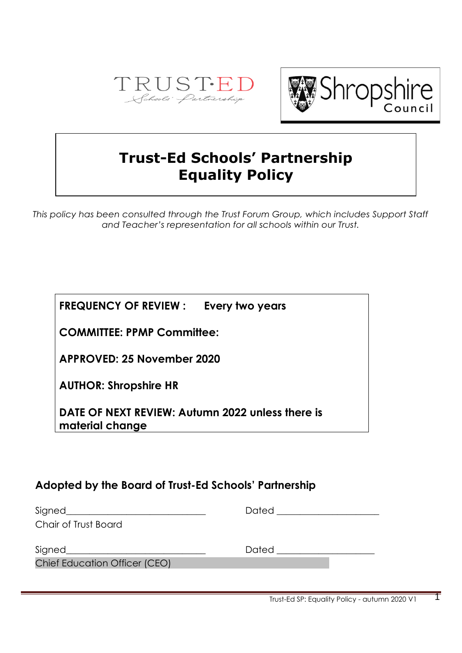



# **Trust-Ed Schools' Partnership Equality Policy**

*This policy has been consulted through the Trust Forum Group, which includes Support Staff and Teacher's representation for all schools within our Trust.*

**FREQUENCY OF REVIEW : Every two years**

**COMMITTEE: PPMP Committee:**

**APPROVED: 25 November 2020**

**AUTHOR: Shropshire HR**

**DATE OF NEXT REVIEW: Autumn 2022 unless there is material change**

## **Adopted by the Board of Trust-Ed Schools' Partnership**

|                               | Dated __________________ |
|-------------------------------|--------------------------|
| Chair of Trust Board          |                          |
|                               | Dated <b>Date</b>        |
| Chief Education Officer (CEO) |                          |
|                               |                          |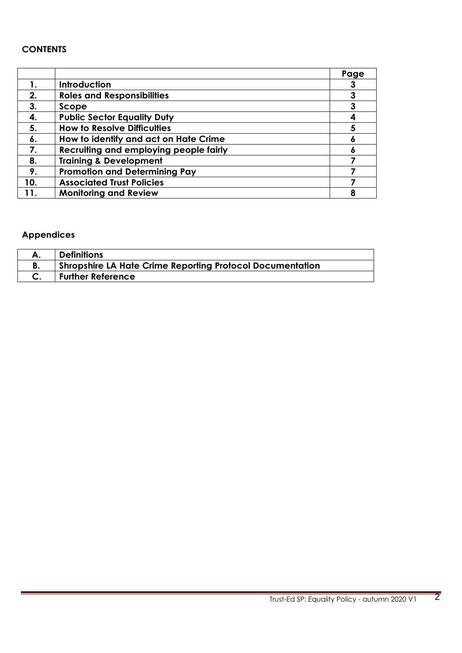## **CONTENTS**

|     |                                        | Page |
|-----|----------------------------------------|------|
| 1.  | Introduction                           |      |
| 2.  | <b>Roles and Responsibilities</b>      |      |
| 3.  | Scope                                  |      |
| 4.  | <b>Public Sector Equality Duty</b>     |      |
| 5.  | <b>How to Resolve Difficulties</b>     |      |
| 6.  | How to identify and act on Hate Crime  |      |
| 7.  | Recruiting and employing people fairly |      |
| 8.  | <b>Training &amp; Development</b>      |      |
| 9.  | <b>Promotion and Determining Pay</b>   |      |
| 10. | <b>Associated Trust Policies</b>       |      |
| 11. | <b>Monitoring and Review</b>           | 8    |

## **Appendices**

|    | <b>Definitions</b>                                               |
|----|------------------------------------------------------------------|
| D. | <b>Shropshire LA Hate Crime Reporting Protocol Documentation</b> |
|    | <b>Further Reference</b>                                         |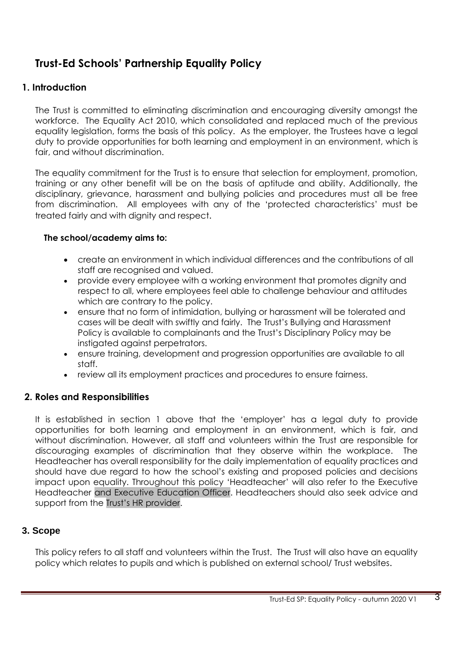## **Trust-Ed Schools' Partnership Equality Policy**

## **1. Introduction**

The Trust is committed to eliminating discrimination and encouraging diversity amongst the workforce. The Equality Act 2010, which consolidated and replaced much of the previous equality legislation, forms the basis of this policy. As the employer, the Trustees have a legal duty to provide opportunities for both learning and employment in an environment, which is fair, and without discrimination.

The equality commitment for the Trust is to ensure that selection for employment, promotion, training or any other benefit will be on the basis of aptitude and ability. Additionally, the disciplinary, grievance, harassment and bullying policies and procedures must all be free from discrimination. All employees with any of the 'protected characteristics' must be treated fairly and with dignity and respect.

#### **The school/academy aims to:**

- create an environment in which individual differences and the contributions of all staff are recognised and valued.
- provide every employee with a working environment that promotes dignity and respect to all, where employees feel able to challenge behaviour and attitudes which are contrary to the policy.
- ensure that no form of intimidation, bullying or harassment will be tolerated and cases will be dealt with swiftly and fairly. The Trust's Bullying and Harassment Policy is available to complainants and the Trust's Disciplinary Policy may be instigated against perpetrators.
- ensure training, development and progression opportunities are available to all staff.
- review all its employment practices and procedures to ensure fairness.

#### **2. Roles and Responsibilities**

It is established in section 1 above that the 'employer' has a legal duty to provide opportunities for both learning and employment in an environment, which is fair, and without discrimination. However, all staff and volunteers within the Trust are responsible for discouraging examples of discrimination that they observe within the workplace. The Headteacher has overall responsibility for the daily implementation of equality practices and should have due regard to how the school's existing and proposed policies and decisions impact upon equality. Throughout this policy 'Headteacher' will also refer to the Executive Headteacher and Executive Education Officer. Headteachers should also seek advice and support from the Trust's HR provider.

## **3. Scope**

This policy refers to all staff and volunteers within the Trust. The Trust will also have an equality policy which relates to pupils and which is published on external school/ Trust websites.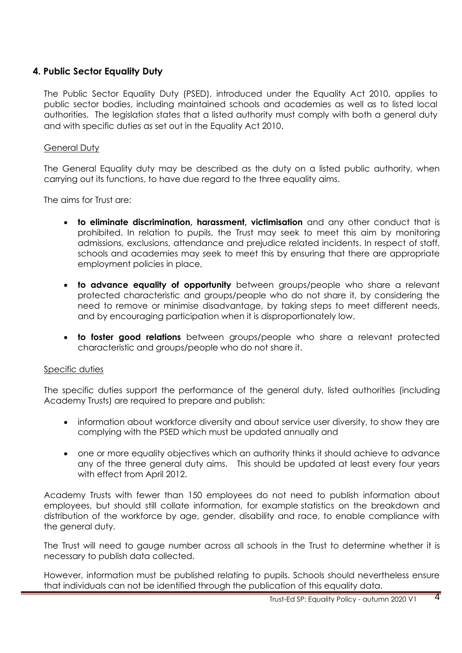## **4. Public Sector Equality Duty**

The Public Sector Equality Duty (PSED), introduced under the Equality Act 2010, applies to public sector bodies, including maintained schools and academies as well as to listed local authorities. The legislation states that a listed authority must comply with both a general duty and with specific duties as set out in the Equality Act 2010.

#### General Duty

The General Equality duty may be described as the duty on a listed public authority, when carrying out its functions, to have due regard to the three equality aims.

The aims for Trust are:

- **to eliminate discrimination, harassment, victimisation** and any other conduct that is prohibited. In relation to pupils, the Trust may seek to meet this aim by monitoring admissions, exclusions, attendance and prejudice related incidents. In respect of staff, schools and academies may seek to meet this by ensuring that there are appropriate employment policies in place,
- **to advance equality of opportunity** between groups/people who share a relevant protected characteristic and groups/people who do not share it, by considering the need to remove or minimise disadvantage, by taking steps to meet different needs, and by encouraging participation when it is disproportionately low.
- **to foster good relations** between groups/people who share a relevant protected characteristic and groups/people who do not share it.

#### Specific duties

The specific duties support the performance of the general duty, listed authorities (including Academy Trusts) are required to prepare and publish:

- information about workforce diversity and about service user diversity, to show they are complying with the PSED which must be updated annually and
- one or more equality objectives which an authority thinks it should achieve to advance any of the three general duty aims. This should be updated at least every four years with effect from April 2012.

Academy Trusts with fewer than 150 employees do not need to publish information about employees, but should still collate information, for example statistics on the breakdown and distribution of the workforce by age, gender, disability and race, to enable compliance with the general duty.

The Trust will need to gauge number across all schools in the Trust to determine whether it is necessary to publish data collected.

However, information must be published relating to pupils. Schools should nevertheless ensure that individuals can not be identified through the publication of this equality data.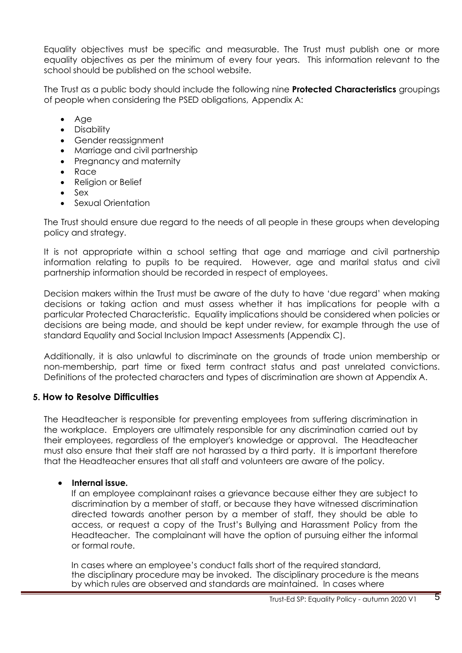Equality objectives must be specific and measurable. The Trust must publish one or more equality objectives as per the minimum of every four years. This information relevant to the school should be published on the school website.

The Trust as a public body should include the following nine **Protected Characteristics** groupings of people when considering the PSED obligations, Appendix A:

- Age
- Disability
- Gender reassignment
- Marriage and civil partnership
- Pregnancy and maternity
- Race
- Religion or Belief
- Sex
- Sexual Orientation

The Trust should ensure due regard to the needs of all people in these groups when developing policy and strategy.

It is not appropriate within a school setting that age and marriage and civil partnership information relating to pupils to be required. However, age and marital status and civil partnership information should be recorded in respect of employees.

Decision makers within the Trust must be aware of the duty to have 'due regard' when making decisions or taking action and must assess whether it has implications for people with a particular Protected Characteristic. Equality implications should be considered when policies or decisions are being made, and should be kept under review, for example through the use of standard Equality and Social Inclusion Impact Assessments (Appendix C).

Additionally, it is also unlawful to discriminate on the grounds of trade union membership or non-membership, part time or fixed term contract status and past unrelated convictions. Definitions of the protected characters and types of discrimination are shown at Appendix A.

## **5. How to Resolve Difficulties**

The Headteacher is responsible for preventing employees from suffering discrimination in the workplace. Employers are ultimately responsible for any discrimination carried out by their employees, regardless of the employer's knowledge or approval. The Headteacher must also ensure that their staff are not harassed by a third party. It is important therefore that the Headteacher ensures that all staff and volunteers are aware of the policy.

## • **Internal issue.**

If an employee complainant raises a grievance because either they are subject to discrimination by a member of staff, or because they have witnessed discrimination directed towards another person by a member of staff, they should be able to access, or request a copy of the Trust's Bullying and Harassment Policy from the Headteacher. The complainant will have the option of pursuing either the informal or formal route.

In cases where an employee's conduct falls short of the required standard, the disciplinary procedure may be invoked. The disciplinary procedure is the means by which rules are observed and standards are maintained. In cases where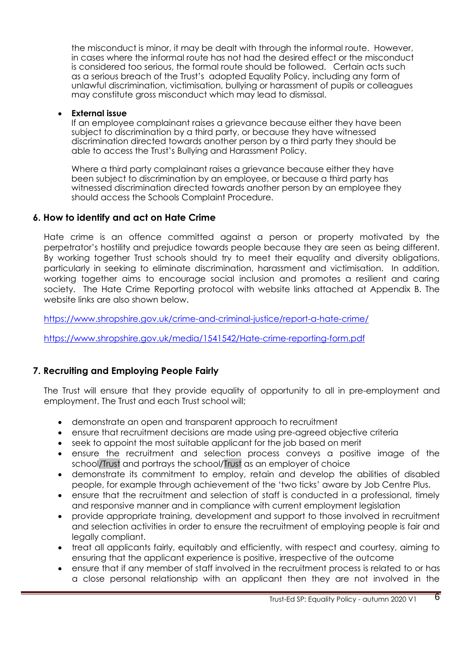the misconduct is minor, it may be dealt with through the informal route. However, in cases where the informal route has not had the desired effect or the misconduct is considered too serious, the formal route should be followed. Certain acts such as a serious breach of the Trust's adopted Equality Policy, including any form of unlawful discrimination, victimisation, bullying or harassment of pupils or colleagues may constitute gross misconduct which may lead to dismissal.

#### • **External issue**

If an employee complainant raises a grievance because either they have been subject to discrimination by a third party, or because they have witnessed discrimination directed towards another person by a third party they should be able to access the Trust's Bullying and Harassment Policy.

Where a third party complainant raises a grievance because either they have been subject to discrimination by an employee, or because a third party has witnessed discrimination directed towards another person by an employee they should access the Schools Complaint Procedure.

## **6. How to identify and act on Hate Crime**

Hate crime is an offence committed against a person or property motivated by the perpetrator's hostility and prejudice towards people because they are seen as being different. By working together Trust schools should try to meet their equality and diversity obligations, particularly in seeking to eliminate discrimination, harassment and victimisation. In addition, working together aims to encourage social inclusion and promotes a resilient and caring society. The Hate Crime Reporting protocol with website links attached at Appendix B. The website links are also shown below.

<https://www.shropshire.gov.uk/crime-and-criminal-justice/report-a-hate-crime/>

<https://www.shropshire.gov.uk/media/1541542/Hate-crime-reporting-form.pdf>

## **7. Recruiting and Employing People Fairly**

The Trust will ensure that they provide equality of opportunity to all in pre-employment and employment. The Trust and each Trust school will;

- demonstrate an open and transparent approach to recruitment
- ensure that recruitment decisions are made using pre-agreed objective criteria
- seek to appoint the most suitable applicant for the job based on merit
- ensure the recruitment and selection process conveys a positive image of the school/Trust and portrays the school/Trust as an employer of choice
- demonstrate its commitment to employ, retain and develop the abilities of disabled people, for example through achievement of the 'two ticks' aware by Job Centre Plus.
- ensure that the recruitment and selection of staff is conducted in a professional, timely and responsive manner and in compliance with current employment legislation
- provide appropriate training, development and support to those involved in recruitment and selection activities in order to ensure the recruitment of employing people is fair and legally compliant.
- treat all applicants fairly, equitably and efficiently, with respect and courtesy, aiming to ensuring that the applicant experience is positive, irrespective of the outcome
- ensure that if any member of staff involved in the recruitment process is related to or has a close personal relationship with an applicant then they are not involved in the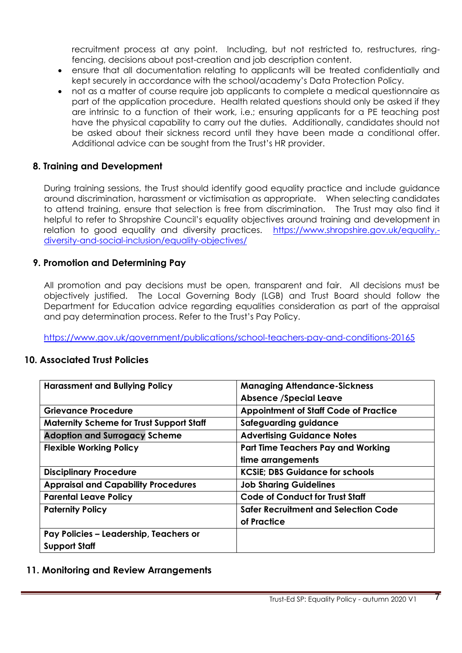recruitment process at any point. Including, but not restricted to, restructures, ringfencing, decisions about post-creation and job description content.

- ensure that all documentation relating to applicants will be treated confidentially and kept securely in accordance with the school/academy's Data Protection Policy.
- not as a matter of course require job applicants to complete a medical questionnaire as part of the application procedure. Health related questions should only be asked if they are intrinsic to a function of their work, i.e.; ensuring applicants for a PE teaching post have the physical capability to carry out the duties. Additionally, candidates should not be asked about their sickness record until they have been made a conditional offer. Additional advice can be sought from the Trust's HR provider.

## **8. Training and Development**

During training sessions, the Trust should identify good equality practice and include guidance around discrimination, harassment or victimisation as appropriate. When selecting candidates to attend training, ensure that selection is free from discrimination. The Trust may also find it helpful to refer to Shropshire Council's equality objectives around training and development in relation to good equality and diversity practices. [https://www.shropshire.gov.uk/equality,](https://www.shropshire.gov.uk/equality,-diversity-and-social-inclusion/equality-objectives/) [diversity-and-social-inclusion/equality-objectives/](https://www.shropshire.gov.uk/equality,-diversity-and-social-inclusion/equality-objectives/)

### **9. Promotion and Determining Pay**

All promotion and pay decisions must be open, transparent and fair. All decisions must be objectively justified. The Local Governing Body (LGB) and Trust Board should follow the Department for Education advice regarding equalities consideration as part of the appraisal and pay determination process. Refer to the Trust's Pay Policy.

[https://www.gov.uk/government/publications/school-teachers-pay-and-conditions-20165](https://www.gov.uk/government/publications/school-teachers-pay-and-conditions-2015)

#### **10. Associated Trust Policies**

| <b>Harassment and Bullying Policy</b>           | <b>Managing Attendance-Sickness</b>          |
|-------------------------------------------------|----------------------------------------------|
|                                                 | <b>Absence /Special Leave</b>                |
| <b>Grievance Procedure</b>                      | <b>Appointment of Staff Code of Practice</b> |
| <b>Maternity Scheme for Trust Support Staff</b> | Safeguarding guidance                        |
| <b>Adoption and Surrogacy Scheme</b>            | <b>Advertising Guidance Notes</b>            |
| <b>Flexible Working Policy</b>                  | <b>Part Time Teachers Pay and Working</b>    |
|                                                 | time arrangements                            |
| <b>Disciplinary Procedure</b>                   | <b>KCSiE: DBS Guidance for schools</b>       |
| <b>Appraisal and Capability Procedures</b>      | <b>Job Sharing Guidelines</b>                |
| <b>Parental Leave Policy</b>                    | <b>Code of Conduct for Trust Staff</b>       |
| <b>Paternity Policy</b>                         | <b>Safer Recruitment and Selection Code</b>  |
|                                                 | of Practice                                  |
| Pay Policies - Leadership, Teachers or          |                                              |
| <b>Support Staff</b>                            |                                              |

## **11. Monitoring and Review Arrangements**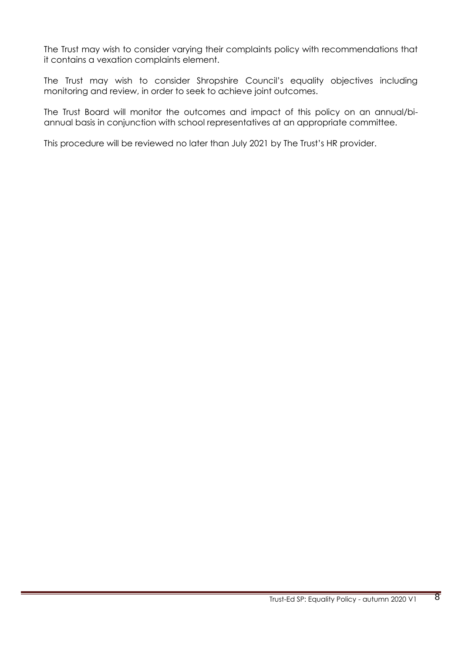The Trust may wish to consider varying their complaints policy with recommendations that it contains a vexation complaints element.

The Trust may wish to consider Shropshire Council's equality objectives including monitoring and review, in order to seek to achieve joint outcomes.

The Trust Board will monitor the outcomes and impact of this policy on an annual/biannual basis in conjunction with school representatives at an appropriate committee.

This procedure will be reviewed no later than July 2021 by The Trust's HR provider.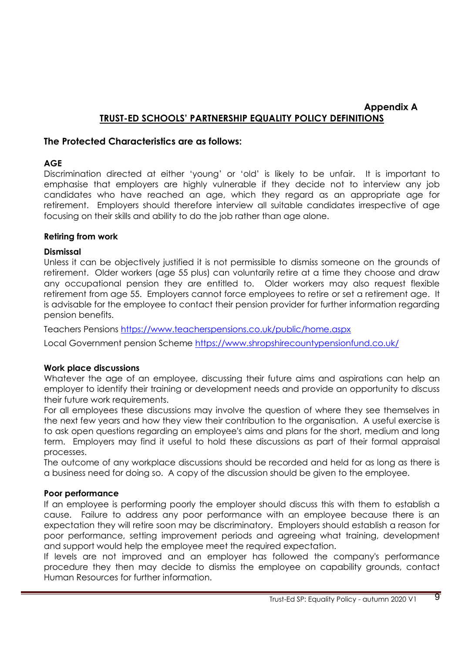## **Appendix A TRUST-ED SCHOOLS' PARTNERSHIP EQUALITY POLICY DEFINITIONS**

### **The Protected Characteristics are as follows:**

#### **AGE**

Discrimination directed at either 'young' or 'old' is likely to be unfair. It is important to emphasise that employers are highly vulnerable if they decide not to interview any job candidates who have reached an age, which they regard as an appropriate age for retirement. Employers should therefore interview all suitable candidates irrespective of age focusing on their skills and ability to do the job rather than age alone.

#### **Retiring from work**

#### **Dismissal**

Unless it can be objectively justified it is not permissible to dismiss someone on the grounds of retirement. Older workers (age 55 plus) can voluntarily retire at a time they choose and draw any occupational pension they are entitled to. Older workers may also request flexible retirement from age 55. Employers cannot force employees to retire or set a retirement age. It is advisable for the employee to contact their pension provider for further information regarding pension benefits.

Teachers Pensions<https://www.teacherspensions.co.uk/public/home.aspx>

Local Government pension Scheme<https://www.shropshirecountypensionfund.co.uk/>

#### **Work place discussions**

Whatever the age of an employee, discussing their future aims and aspirations can help an employer to identify their training or development needs and provide an opportunity to discuss their future work requirements.

For all employees these discussions may involve the question of where they see themselves in the next few years and how they view their contribution to the organisation. A useful exercise is to ask open questions regarding an employee's aims and plans for the short, medium and long term. Employers may find it useful to hold these discussions as part of their formal appraisal processes.

The outcome of any workplace discussions should be recorded and held for as long as there is a business need for doing so. A copy of the discussion should be given to the employee.

#### **Poor performance**

If an employee is performing poorly the employer should discuss this with them to establish a cause. Failure to address any poor performance with an employee because there is an expectation they will retire soon may be discriminatory. Employers should establish a reason for poor performance, setting improvement periods and agreeing what training, development and support would help the employee meet the required expectation.

If levels are not improved and an employer has followed the company's performance procedure they then may decide to dismiss the employee on capability grounds, contact Human Resources for further information.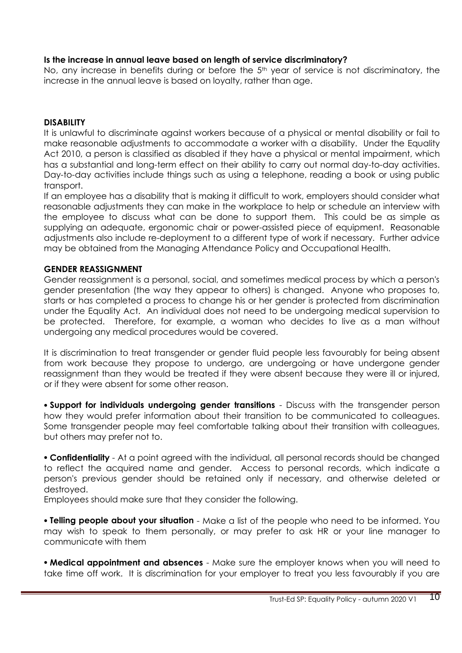### **Is the increase in annual leave based on length of service discriminatory?**

No, any increase in benefits during or before the 5<sup>th</sup> year of service is not discriminatory, the increase in the annual leave is based on loyalty, rather than age.

## **DISABILITY**

It is unlawful to discriminate against workers because of a physical or mental disability or fail to make reasonable adjustments to accommodate a worker with a disability. Under the Equality Act 2010, a person is classified as disabled if they have a physical or mental impairment, which has a substantial and long-term effect on their ability to carry out normal day-to-day activities. Day-to-day activities include things such as using a telephone, reading a book or using public transport.

If an employee has a disability that is making it difficult to work, employers should consider what reasonable adjustments they can make in the workplace to help or schedule an interview with the employee to discuss what can be done to support them. This could be as simple as supplying an adequate, ergonomic chair or power-assisted piece of equipment. Reasonable adjustments also include re-deployment to a different type of work if necessary. Further advice may be obtained from the Managing Attendance Policy and Occupational Health.

#### **GENDER REASSIGNMENT**

Gender reassignment is a personal, social, and sometimes medical process by which a person's gender presentation (the way they appear to others) is changed. Anyone who proposes to, starts or has completed a process to change his or her gender is protected from discrimination under the Equality Act. An individual does not need to be undergoing medical supervision to be protected. Therefore, for example, a woman who decides to live as a man without undergoing any medical procedures would be covered.

It is discrimination to treat transgender or gender fluid people less favourably for being absent from work because they propose to undergo, are undergoing or have undergone gender reassignment than they would be treated if they were absent because they were ill or injured, or if they were absent for some other reason.

• **Support for individuals undergoing gender transitions** - Discuss with the transgender person how they would prefer information about their transition to be communicated to colleagues. Some transgender people may feel comfortable talking about their transition with colleagues, but others may prefer not to.

• **Confidentiality** - At a point agreed with the individual, all personal records should be changed to reflect the acquired name and gender. Access to personal records, which indicate a person's previous gender should be retained only if necessary, and otherwise deleted or destroyed.

Employees should make sure that they consider the following.

• **Telling people about your situation** - Make a list of the people who need to be informed. You may wish to speak to them personally, or may prefer to ask HR or your line manager to communicate with them

• **Medical appointment and absences** - Make sure the employer knows when you will need to take time off work. It is discrimination for your employer to treat you less favourably if you are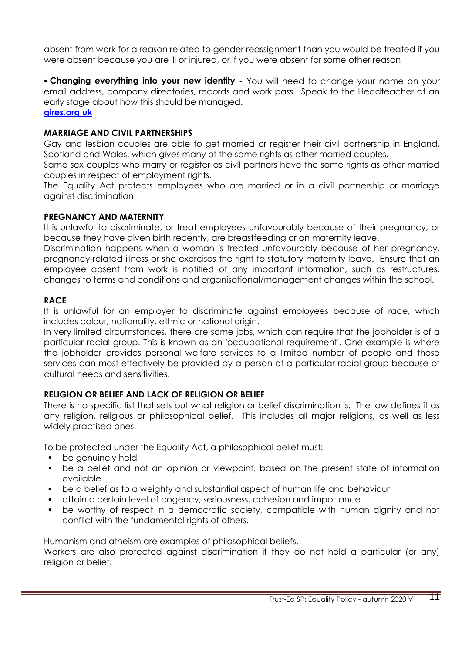absent from work for a reason related to gender reassignment than you would be treated if you were absent because you are ill or injured, or if you were absent for some other reason

• **Changing everything into your new identity -** You will need to change your name on your email address, company directories, records and work pass. Speak to the Headteacher at an early stage about how this should be managed. **[gires](http://www.gires.org.uk/)**.**org**.**uk**

#### **MARRIAGE AND CIVIL PARTNERSHIPS**

Gay and lesbian couples are able to get married or register their civil partnership in England, Scotland and Wales, which gives many of the same rights as other married couples.

Same sex couples who marry or register as civil partners have the same rights as other married couples in respect of employment rights.

The Equality Act protects employees who are married or in a civil partnership or marriage against discrimination.

#### **PREGNANCY AND MATERNITY**

It is unlawful to discriminate, or treat employees unfavourably because of their pregnancy, or because they have given birth recently, are breastfeeding or on maternity leave.

Discrimination happens when a woman is treated unfavourably because of her pregnancy, pregnancy-related illness or she exercises the right to statutory maternity leave. Ensure that an employee absent from work is notified of any important information, such as restructures, changes to terms and conditions and organisational/management changes within the school.

#### **RACE**

It is unlawful for an employer to discriminate against employees because of race, which includes colour, nationality, ethnic or national origin.

In very limited circumstances, there are some jobs, which can require that the jobholder is of a particular racial group. This is known as an 'occupational requirement'. One example is where the jobholder provides personal welfare services to a limited number of people and those services can most effectively be provided by a person of a particular racial group because of cultural needs and sensitivities.

#### **RELIGION OR BELIEF AND LACK OF RELIGION OR BELIEF**

There is no specific list that sets out what religion or belief discrimination is. The law defines it as any religion, religious or philosophical belief. This includes all major religions, as well as less widely practised ones.

To be protected under the Equality Act, a philosophical belief must:

- be genuinely held
- be a belief and not an opinion or viewpoint, based on the present state of information available
- be a belief as to a weighty and substantial aspect of human life and behaviour
- attain a certain level of cogency, seriousness, cohesion and importance
- be worthy of respect in a democratic society, compatible with human dignity and not conflict with the fundamental rights of others.

Humanism and atheism are examples of philosophical beliefs.

Workers are also protected against discrimination if they do not hold a particular (or any) religion or belief.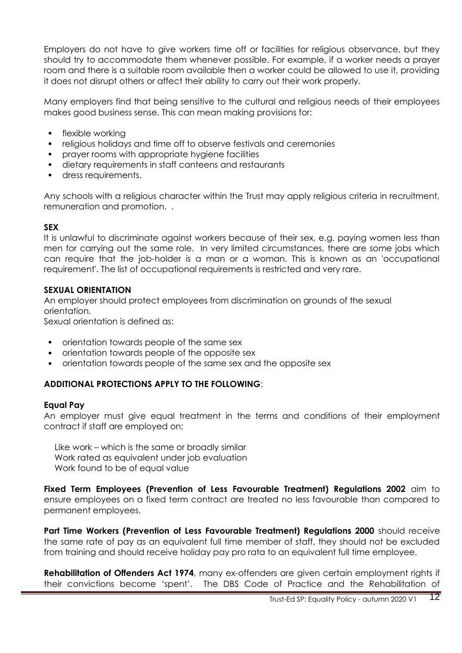Employers do not have to give workers time off or facilities for religious observance, but they should try to accommodate them whenever possible. For example, if a worker needs a prayer room and there is a suitable room available then a worker could be allowed to use it, providing it does not disrupt others or affect their ability to carry out their work properly.

Many employers find that being sensitive to the cultural and religious needs of their employees makes good business sense. This can mean making provisions for:

- flexible working
- religious holidays and time off to observe festivals and ceremonies
- prayer rooms with appropriate hygiene facilities
- dietary requirements in staff canteens and restaurants
- dress requirements.

Any schools with a religious character within the Trust may apply religious criteria in recruitment, remuneration and promotion. .

#### **SEX**

It is unlawful to discriminate against workers because of their sex, e.g. paying women less than men for carrying out the same role. In very limited circumstances, there are some jobs which can require that the job-holder is a man or a woman. This is known as an 'occupational requirement'. The list of occupational requirements is restricted and very rare.

#### **SEXUAL ORIENTATION**

An employer should protect employees from discrimination on grounds of the sexual orientation.

Sexual orientation is defined as:

- orientation towards people of the same sex
- orientation towards people of the opposite sex
- orientation towards people of the same sex and the opposite sex

## **ADDITIONAL PROTECTIONS APPLY TO THE FOLLOWING**:

#### **Equal Pay**

An employer must give equal treatment in the terms and conditions of their employment contract if staff are employed on;

Like work – which is the same or broadly similar Work rated as equivalent under job evaluation Work found to be of equal value

**Fixed Term Employees (Prevention of Less Favourable Treatment) Regulations 2002** aim to ensure employees on a fixed term contract are treated no less favourable than compared to permanent employees.

**Part Time Workers (Prevention of Less Favourable Treatment) Requigitions 2000** should receive the same rate of pay as an equivalent full time member of staff, they should not be excluded from training and should receive holiday pay pro rata to an equivalent full time employee.

**Rehabilitation of Offenders Act 1974**, many ex-offenders are given certain employment rights if their convictions become 'spent'. The DBS Code of Practice and the Rehabilitation of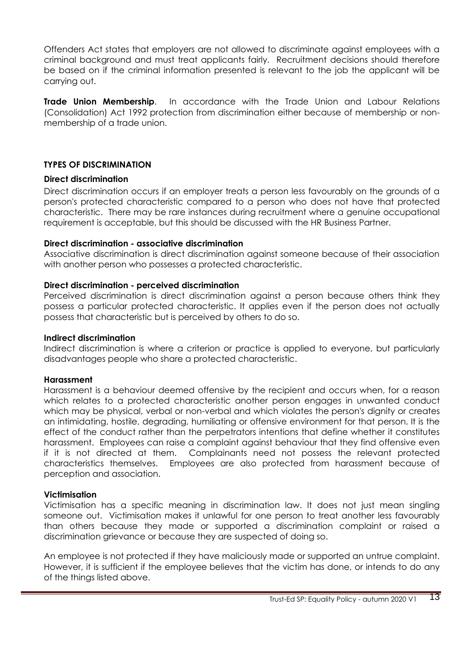Offenders Act states that employers are not allowed to discriminate against employees with a criminal background and must treat applicants fairly. Recruitment decisions should therefore be based on if the criminal information presented is relevant to the job the applicant will be carrying out.

**Trade Union Membership**. In accordance with the Trade Union and Labour Relations (Consolidation) Act 1992 protection from discrimination either because of membership or nonmembership of a trade union.

### **TYPES OF DISCRIMINATION**

#### **Direct discrimination**

Direct discrimination occurs if an employer treats a person less favourably on the grounds of a person's protected characteristic compared to a person who does not have that protected characteristic. There may be rare instances during recruitment where a genuine occupational requirement is acceptable, but this should be discussed with the HR Business Partner.

#### **Direct discrimination - associative discrimination**

Associative discrimination is direct discrimination against someone because of their association with another person who possesses a protected characteristic.

### **Direct discrimination - perceived discrimination**

Perceived discrimination is direct discrimination against a person because others think they possess a particular protected characteristic. It applies even if the person does not actually possess that characteristic but is perceived by others to do so.

#### **Indirect discrimination**

Indirect discrimination is where a criterion or practice is applied to everyone, but particularly disadvantages people who share a protected characteristic.

#### **Harassment**

Harassment is a behaviour deemed offensive by the recipient and occurs when, for a reason which relates to a protected characteristic another person engages in unwanted conduct which may be physical, verbal or non-verbal and which violates the person's dignity or creates an intimidating, hostile, degrading, humiliating or offensive environment for that person. It is the effect of the conduct rather than the perpetrators intentions that define whether it constitutes harassment. Employees can raise a complaint against behaviour that they find offensive even if it is not directed at them. Complainants need not possess the relevant protected characteristics themselves. Employees are also protected from harassment because of perception and association.

#### **Victimisation**

Victimisation has a specific meaning in discrimination law. It does not just mean singling someone out. Victimisation makes it unlawful for one person to treat another less favourably than others because they made or supported a discrimination complaint or raised a discrimination grievance or because they are suspected of doing so.

An employee is not protected if they have maliciously made or supported an untrue complaint. However, it is sufficient if the employee believes that the victim has done, or intends to do any of the things listed above.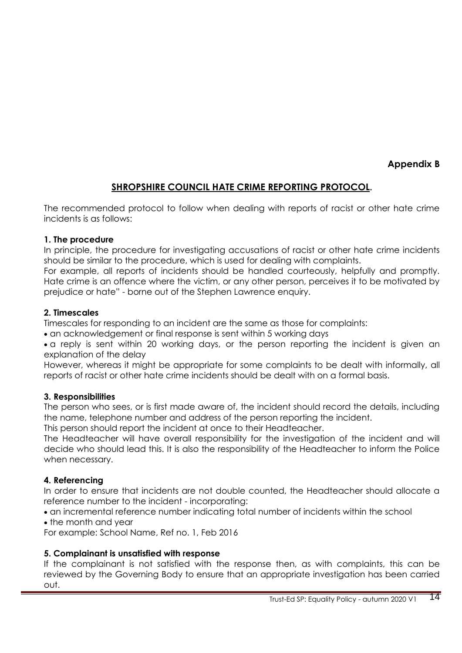**Appendix B**

## **SHROPSHIRE COUNCIL HATE CRIME REPORTING PROTOCOL.**

The recommended protocol to follow when dealing with reports of racist or other hate crime incidents is as follows:

#### **[1. The procedure](http://staff.shropshire.gov.uk/policies-and-guidance/hr-and-payroll/hate-crime-reporting-protocol/)**

In principle, the procedure for investigating accusations of racist or other hate crime incidents should be similar to the procedure, which is used for dealing with complaints.

For example, all reports of incidents should be handled courteously, helpfully and promptly. Hate crime is an offence where the victim, or any other person, perceives it to be motivated by prejudice or hate" - borne out of the Stephen Lawrence enquiry.

### **[2. Timescales](http://staff.shropshire.gov.uk/policies-and-guidance/hr-and-payroll/hate-crime-reporting-protocol/)**

Timescales for responding to an incident are the same as those for complaints:

• an acknowledgement or final response is sent within 5 working days

• a reply is sent within 20 working days, or the person reporting the incident is given an explanation of the delay

However, whereas it might be appropriate for some complaints to be dealt with informally, all reports of racist or other hate crime incidents should be dealt with on a formal basis.

#### **[3. Responsibilities](http://staff.shropshire.gov.uk/policies-and-guidance/hr-and-payroll/hate-crime-reporting-protocol/)**

The person who sees, or is first made aware of, the incident should record the details, including the name, telephone number and address of the person reporting the incident.

This person should report the incident at once to their Headteacher.

The Headteacher will have overall responsibility for the investigation of the incident and will decide who should lead this. It is also the responsibility of the Headteacher to inform the Police when necessary.

## **[4. Referencing](http://staff.shropshire.gov.uk/policies-and-guidance/hr-and-payroll/hate-crime-reporting-protocol/)**

In order to ensure that incidents are not double counted, the Headteacher should allocate a reference number to the incident - incorporating:

• an incremental reference number indicating total number of incidents within the school

• the month and year

For example: School Name, Ref no. 1, Feb 2016

## **[5. Complainant is unsatisfied with response](http://staff.shropshire.gov.uk/policies-and-guidance/hr-and-payroll/hate-crime-reporting-protocol/)**

If the complainant is not satisfied with the response then, as with complaints, this can be reviewed by the Governing Body to ensure that an appropriate investigation has been carried out.